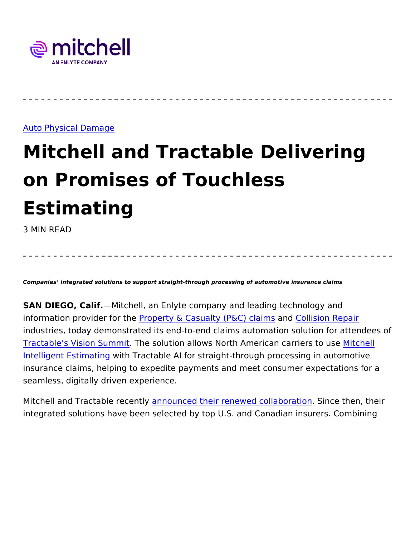## [Auto Physical D](https://www.mitchell.com/insights/auto-physical-damage-0)amage

## Mitchell and Tractable Deliver on Promises of Touchless Estimating

3 MIN READ

Companies integrated solutions to support straight-through processing of automotive insurance clair

SAN DIEGO, CaMifchell, an Enlyte company and leading technology information provider Pfroorp they & Casualty (P& & not claims ion Repair industries, today demonstrated its end-to-end claims automation so [Tractable s Vision](https://events.tractable.ai/) Summemstolution allows North American Mciachielrs to [Intelligent Esti](https://www.mitchell.com/solutions/auto-physical-damage/intelligent-solutions/estimating)mwait im Tractable AI for straight-through processing in insurance claims, helping to expedite payments and meet consumer seamless, digitally driven experience.

Mitchell and Tractable amenceunt byed their renewed coll**Sbnocatibe**n, thei integrated solutions have been selected by top U.S. and Canadian i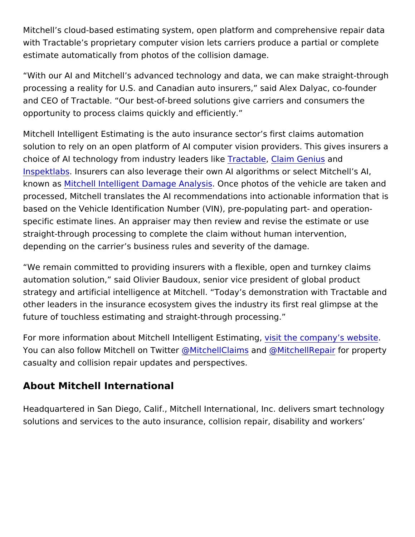Mitchell s cloud-based estimating system, open platform and compr with Tractable s proprietary computer vision lets carriers produce a estimate automatically from photos of the collision damage.

With our AI and Mitchell s advanced technology and data, we can r processing a reality for U.S. and Canadian auto insurers, said Ale and CEO of Tractable. Our best-of-breed solutions give carriers ar opportunity to process claims quickly and efficiently.

Mitchell Intelligent Estimating is the auto insurance sector s first o solution to rely on an open platform of AI computer vision providers choice of AI technology from industTy alcetaad a Celaim Ke Genaunsd [Inspektl](https://www.mitchell.com/news/mitchell-teams-inspektlabs-offer-new-option-ai-generated-vehicle-appraisals)adasurers can also leverage their own AI algorithms or select known a bitchell Intelligent Damage O Ancel photos of the vehicle are taken and the vehicle are taken and and an processed, Mitchell translates the AI recommendations into actiona based on the Vehicle Identification Number (VIN), pre-populating p specific estimate lines. An appraiser may then review and revise th straight-through processing to complete the claim without human in depending on the carrier s business rules and severity of the damage.

We remain committed to providing insurers with a flexible, open are automation solution, said Olivier Baudoux, senior vice president o strategy and artificial intelligence at Mitchell. Today s demonstrat other leaders in the insurance ecosystem gives the industry its firs future of touchless estimating and straight-through processing.

For more information about Mitchell Intelligs entitiestimatingly s websited and the company s website . You can also follow Mitche[ll on Twitter](https://twitter.com/mitchellclaims) [@MitchellCl](https://twitter.com/mitchellclaims)aims an[d @MitchellR](https://twitter.com/MitchellRepair)epair for property casualty and collision repair updates and perspectives.

About Mitchell International

Headquartered in San Diego, Calif., Mitchell International, Inc. del solutions and services to the auto insurance, collision repair, disal